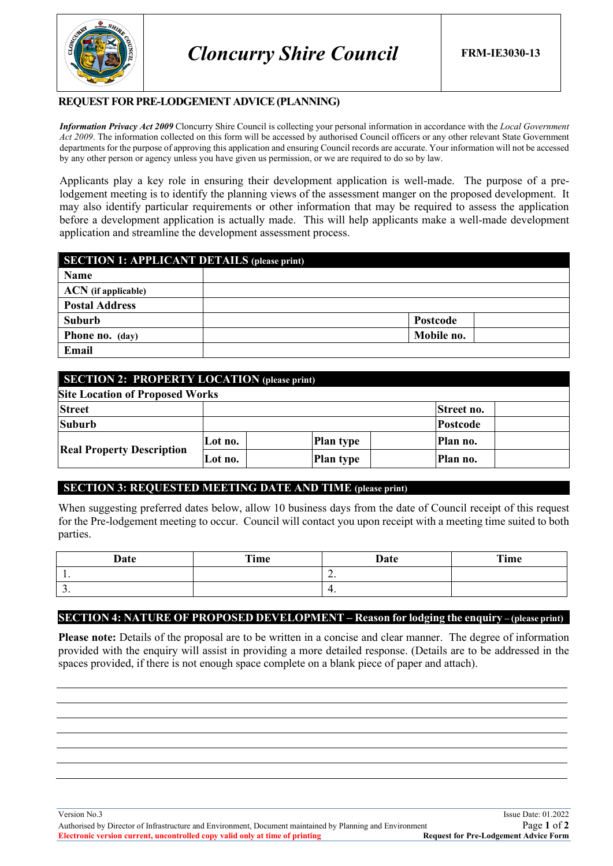

### **REQUEST FOR PRE-LODGEMENT ADVICE(PLANNING)**

*Information Privacy Act 2009* Cloncurry Shire Council is collecting your personal information in accordance with the *Local Government Act 2009*. The information collected on this form will be accessed by authorised Council officers or any other relevant State Government departments for the purpose of approving this application and ensuring Council records are accurate. Your information will not be accessed by any other person or agency unless you have given us permission, or we are required to do so by law.

Applicants play a key role in ensuring their development application is well-made. The purpose of a prelodgement meeting is to identify the planning views of the assessment manger on the proposed development. It may also identify particular requirements or other information that may be required to assess the application before a development application is actually made. This will help applicants make a well-made development application and streamline the development assessment process.

| <b>SECTION 1: APPLICANT DETAILS (please print)</b> |            |  |  |
|----------------------------------------------------|------------|--|--|
| Name                                               |            |  |  |
| $ACN$ (if applicable)                              |            |  |  |
| <b>Postal Address</b>                              |            |  |  |
| Suburb                                             | Postcode   |  |  |
| <b>Phone no.</b> (day)                             | Mobile no. |  |  |
| Email                                              |            |  |  |

| <b>SECTION 2: PROPERTY LOCATION (please print)</b> |         |  |                  |          |            |  |
|----------------------------------------------------|---------|--|------------------|----------|------------|--|
| <b>Site Location of Proposed Works</b>             |         |  |                  |          |            |  |
| <b>Street</b>                                      |         |  |                  |          | Street no. |  |
| <b>Suburb</b>                                      |         |  |                  | Postcode |            |  |
| <b>Real Property Description</b>                   | Lot no. |  | <b>Plan type</b> |          | Plan no.   |  |
|                                                    | Lot no. |  | <b>Plan type</b> |          | Plan no.   |  |

# **SECTION 3: REQUESTED MEETING DATE AND TIME (please print)**

When suggesting preferred dates below, allow 10 business days from the date of Council receipt of this request for the Pre-lodgement meeting to occur. Council will contact you upon receipt with a meeting time suited to both parties.

| Date     | Time | Date                     | Time |
|----------|------|--------------------------|------|
| . .      |      | $\overline{\phantom{a}}$ |      |
| <u>.</u> |      | ᠇.                       |      |

# **SECTION 4: NATURE OF PROPOSED DEVELOPMENT – Reason for lodging the enquiry – (please print)**

**Please note:** Details of the proposal are to be written in a concise and clear manner. The degree of information provided with the enquiry will assist in providing a more detailed response. (Details are to be addressed in the spaces provided, if there is not enough space complete on a blank piece of paper and attach).

Version No.3 Issue Date: 01.2022